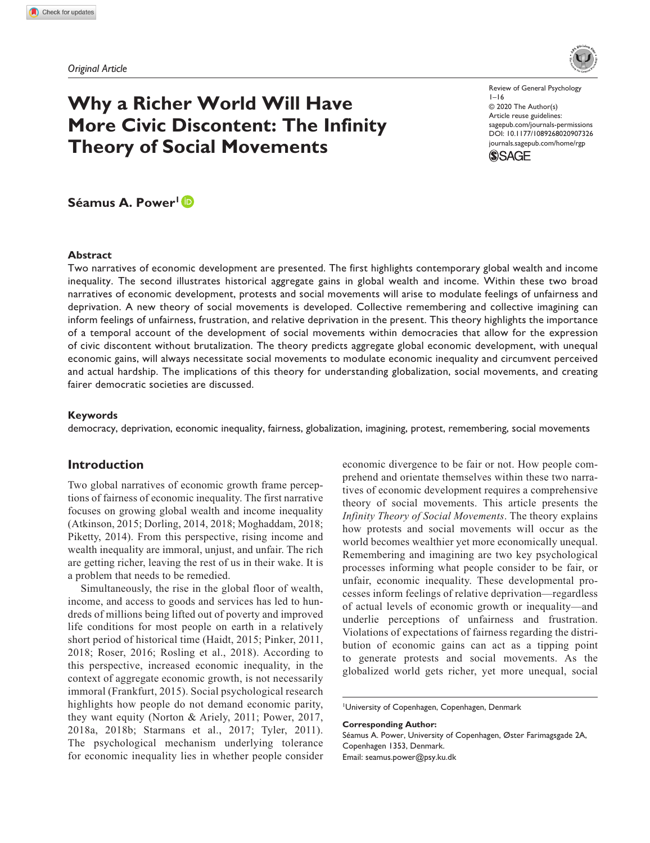

# **Why a Richer World Will Have More Civic Discontent: The Infinity Theory of Social Movements**

DOI: 10.1177/1089268020907326 Review of General Psychology 1–16 © 2020 The Author(s) Article reuse guidelines: [sagepub.com/journals-permissions](https://us.sagepub.com/en-us/journals-permissions) [journals.sagepub.com/home/rgp](https://journals.sagepub.com/home/rgp)



### Séamus A. Power<sup>1</sup><sup>D</sup>

#### **Abstract**

Two narratives of economic development are presented. The first highlights contemporary global wealth and income inequality. The second illustrates historical aggregate gains in global wealth and income. Within these two broad narratives of economic development, protests and social movements will arise to modulate feelings of unfairness and deprivation. A new theory of social movements is developed. Collective remembering and collective imagining can inform feelings of unfairness, frustration, and relative deprivation in the present. This theory highlights the importance of a temporal account of the development of social movements within democracies that allow for the expression of civic discontent without brutalization. The theory predicts aggregate global economic development, with unequal economic gains, will always necessitate social movements to modulate economic inequality and circumvent perceived and actual hardship. The implications of this theory for understanding globalization, social movements, and creating fairer democratic societies are discussed.

#### **Keywords**

democracy, deprivation, economic inequality, fairness, globalization, imagining, protest, remembering, social movements

### **Introduction**

Two global narratives of economic growth frame perceptions of fairness of economic inequality. The first narrative focuses on growing global wealth and income inequality (Atkinson, 2015; Dorling, 2014, 2018; Moghaddam, 2018; Piketty, 2014). From this perspective, rising income and wealth inequality are immoral, unjust, and unfair. The rich are getting richer, leaving the rest of us in their wake. It is a problem that needs to be remedied.

Simultaneously, the rise in the global floor of wealth, income, and access to goods and services has led to hundreds of millions being lifted out of poverty and improved life conditions for most people on earth in a relatively short period of historical time (Haidt, 2015; Pinker, 2011, 2018; Roser, 2016; Rosling et al., 2018). According to this perspective, increased economic inequality, in the context of aggregate economic growth, is not necessarily immoral (Frankfurt, 2015). Social psychological research highlights how people do not demand economic parity, they want equity (Norton & Ariely, 2011; Power, 2017, 2018a, 2018b; Starmans et al., 2017; Tyler, 2011). The psychological mechanism underlying tolerance for economic inequality lies in whether people consider economic divergence to be fair or not. How people comprehend and orientate themselves within these two narratives of economic development requires a comprehensive theory of social movements. This article presents the *Infinity Theory of Social Movements*. The theory explains how protests and social movements will occur as the world becomes wealthier yet more economically unequal. Remembering and imagining are two key psychological processes informing what people consider to be fair, or unfair, economic inequality. These developmental processes inform feelings of relative deprivation—regardless of actual levels of economic growth or inequality—and underlie perceptions of unfairness and frustration. Violations of expectations of fairness regarding the distribution of economic gains can act as a tipping point to generate protests and social movements. As the globalized world gets richer, yet more unequal, social

**Corresponding Author:**

Séamus A. Power, University of Copenhagen, Øster Farimagsgade 2A, Copenhagen 1353, Denmark. Email: [seamus.power@psy.ku.dk](mailto:seamus.power@psy.ku.dk)

<sup>1</sup> University of Copenhagen, Copenhagen, Denmark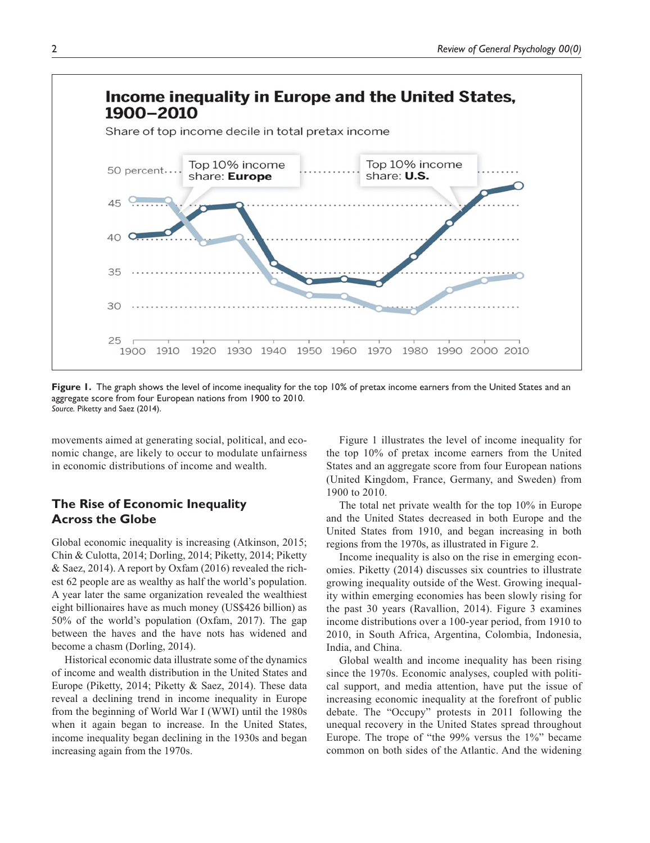

**Figure 1.** The graph shows the level of income inequality for the top 10% of pretax income earners from the United States and an aggregate score from four European nations from 1900 to 2010. *Source.* Piketty and Saez (2014).

movements aimed at generating social, political, and economic change, are likely to occur to modulate unfairness in economic distributions of income and wealth.

## **The Rise of Economic Inequality Across the Globe**

Global economic inequality is increasing (Atkinson, 2015; Chin & Culotta, 2014; Dorling, 2014; Piketty, 2014; Piketty & Saez, 2014). A report by Oxfam (2016) revealed the richest 62 people are as wealthy as half the world's population. A year later the same organization revealed the wealthiest eight billionaires have as much money (US\$426 billion) as 50% of the world's population (Oxfam, 2017). The gap between the haves and the have nots has widened and become a chasm (Dorling, 2014).

Historical economic data illustrate some of the dynamics of income and wealth distribution in the United States and Europe (Piketty, 2014; Piketty & Saez, 2014). These data reveal a declining trend in income inequality in Europe from the beginning of World War I (WWI) until the 1980s when it again began to increase. In the United States, income inequality began declining in the 1930s and began increasing again from the 1970s.

Figure 1 illustrates the level of income inequality for the top 10% of pretax income earners from the United States and an aggregate score from four European nations (United Kingdom, France, Germany, and Sweden) from 1900 to 2010.

The total net private wealth for the top 10% in Europe and the United States decreased in both Europe and the United States from 1910, and began increasing in both regions from the 1970s, as illustrated in Figure 2.

Income inequality is also on the rise in emerging economies. Piketty (2014) discusses six countries to illustrate growing inequality outside of the West. Growing inequality within emerging economies has been slowly rising for the past 30 years (Ravallion, 2014). Figure 3 examines income distributions over a 100-year period, from 1910 to 2010, in South Africa, Argentina, Colombia, Indonesia, India, and China.

Global wealth and income inequality has been rising since the 1970s. Economic analyses, coupled with political support, and media attention, have put the issue of increasing economic inequality at the forefront of public debate. The "Occupy" protests in 2011 following the unequal recovery in the United States spread throughout Europe. The trope of "the 99% versus the 1%" became common on both sides of the Atlantic. And the widening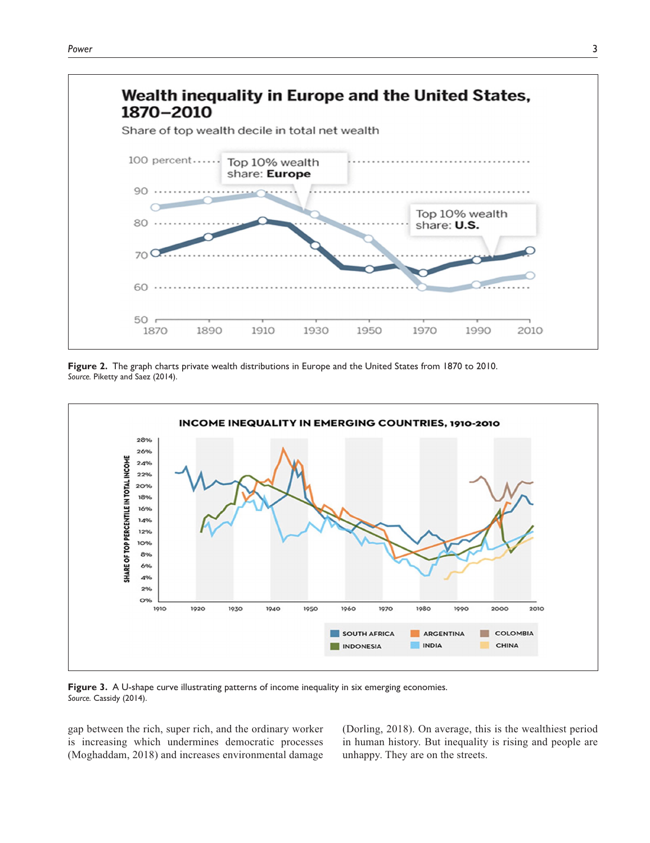

**Figure 2.** The graph charts private wealth distributions in Europe and the United States from 1870 to 2010. *Source.* Piketty and Saez (2014).



**Figure 3.** A U-shape curve illustrating patterns of income inequality in six emerging economies. *Source.* Cassidy (2014).

gap between the rich, super rich, and the ordinary worker is increasing which undermines democratic processes (Moghaddam, 2018) and increases environmental damage (Dorling, 2018). On average, this is the wealthiest period in human history. But inequality is rising and people are unhappy. They are on the streets.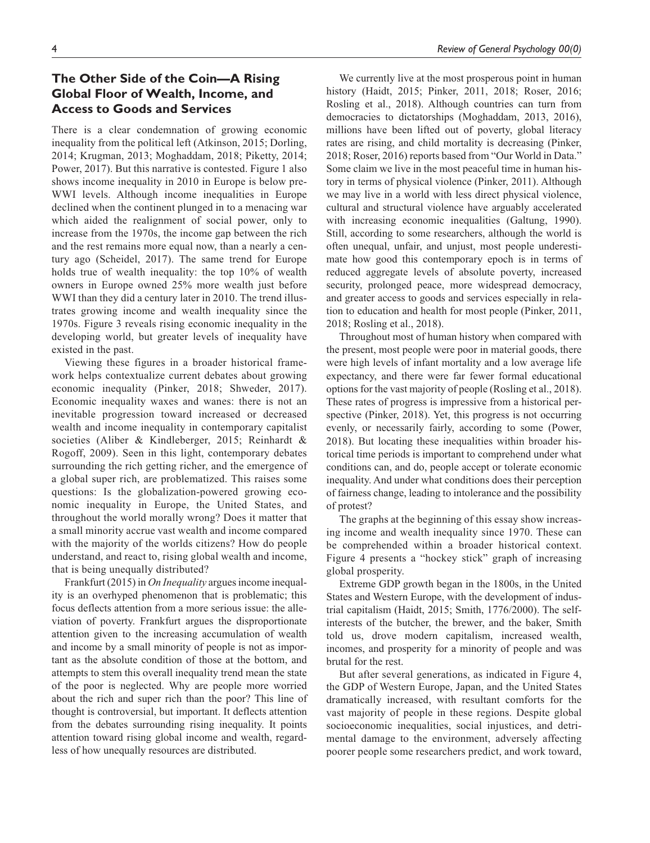# **The Other Side of the Coin—A Rising Global Floor of Wealth, Income, and Access to Goods and Services**

There is a clear condemnation of growing economic inequality from the political left (Atkinson, 2015; Dorling, 2014; Krugman, 2013; Moghaddam, 2018; Piketty, 2014; Power, 2017). But this narrative is contested. Figure 1 also shows income inequality in 2010 in Europe is below pre-WWI levels. Although income inequalities in Europe declined when the continent plunged in to a menacing war which aided the realignment of social power, only to increase from the 1970s, the income gap between the rich and the rest remains more equal now, than a nearly a century ago (Scheidel, 2017). The same trend for Europe holds true of wealth inequality: the top 10% of wealth owners in Europe owned 25% more wealth just before WWI than they did a century later in 2010. The trend illustrates growing income and wealth inequality since the 1970s. Figure 3 reveals rising economic inequality in the developing world, but greater levels of inequality have existed in the past.

Viewing these figures in a broader historical framework helps contextualize current debates about growing economic inequality (Pinker, 2018; Shweder, 2017). Economic inequality waxes and wanes: there is not an inevitable progression toward increased or decreased wealth and income inequality in contemporary capitalist societies (Aliber & Kindleberger, 2015; Reinhardt & Rogoff, 2009). Seen in this light, contemporary debates surrounding the rich getting richer, and the emergence of a global super rich, are problematized. This raises some questions: Is the globalization-powered growing economic inequality in Europe, the United States, and throughout the world morally wrong? Does it matter that a small minority accrue vast wealth and income compared with the majority of the worlds citizens? How do people understand, and react to, rising global wealth and income, that is being unequally distributed?

Frankfurt (2015) in *On Inequality* argues income inequality is an overhyped phenomenon that is problematic; this focus deflects attention from a more serious issue: the alleviation of poverty. Frankfurt argues the disproportionate attention given to the increasing accumulation of wealth and income by a small minority of people is not as important as the absolute condition of those at the bottom, and attempts to stem this overall inequality trend mean the state of the poor is neglected. Why are people more worried about the rich and super rich than the poor? This line of thought is controversial, but important. It deflects attention from the debates surrounding rising inequality. It points attention toward rising global income and wealth, regardless of how unequally resources are distributed.

We currently live at the most prosperous point in human history (Haidt, 2015; Pinker, 2011, 2018; Roser, 2016; Rosling et al., 2018). Although countries can turn from democracies to dictatorships (Moghaddam, 2013, 2016), millions have been lifted out of poverty, global literacy rates are rising, and child mortality is decreasing (Pinker, 2018; Roser, 2016) reports based from "Our World in Data." Some claim we live in the most peaceful time in human history in terms of physical violence (Pinker, 2011). Although we may live in a world with less direct physical violence, cultural and structural violence have arguably accelerated with increasing economic inequalities (Galtung, 1990). Still, according to some researchers, although the world is often unequal, unfair, and unjust, most people underestimate how good this contemporary epoch is in terms of reduced aggregate levels of absolute poverty, increased security, prolonged peace, more widespread democracy, and greater access to goods and services especially in relation to education and health for most people (Pinker, 2011, 2018; Rosling et al., 2018).

Throughout most of human history when compared with the present, most people were poor in material goods, there were high levels of infant mortality and a low average life expectancy, and there were far fewer formal educational options for the vast majority of people (Rosling et al., 2018). These rates of progress is impressive from a historical perspective (Pinker, 2018). Yet, this progress is not occurring evenly, or necessarily fairly, according to some (Power, 2018). But locating these inequalities within broader historical time periods is important to comprehend under what conditions can, and do, people accept or tolerate economic inequality. And under what conditions does their perception of fairness change, leading to intolerance and the possibility of protest?

The graphs at the beginning of this essay show increasing income and wealth inequality since 1970. These can be comprehended within a broader historical context. Figure 4 presents a "hockey stick" graph of increasing global prosperity.

Extreme GDP growth began in the 1800s, in the United States and Western Europe, with the development of industrial capitalism (Haidt, 2015; Smith, 1776/2000). The selfinterests of the butcher, the brewer, and the baker, Smith told us, drove modern capitalism, increased wealth, incomes, and prosperity for a minority of people and was brutal for the rest.

But after several generations, as indicated in Figure 4, the GDP of Western Europe, Japan, and the United States dramatically increased, with resultant comforts for the vast majority of people in these regions. Despite global socioeconomic inequalities, social injustices, and detrimental damage to the environment, adversely affecting poorer people some researchers predict, and work toward,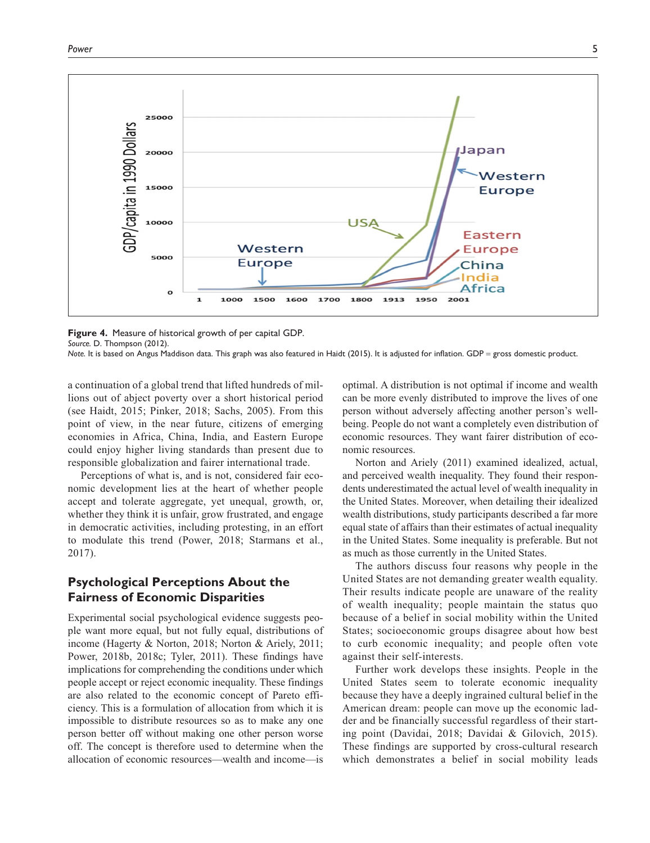



**Figure 4.** Measure of historical growth of per capital GDP. *Source.* D. Thompson (2012). *Note.* It is based on Angus Maddison data. This graph was also featured in Haidt (2015). It is adjusted for inflation. GDP = gross domestic product.

a continuation of a global trend that lifted hundreds of millions out of abject poverty over a short historical period (see Haidt, 2015; Pinker, 2018; Sachs, 2005). From this point of view, in the near future, citizens of emerging economies in Africa, China, India, and Eastern Europe could enjoy higher living standards than present due to responsible globalization and fairer international trade.

Perceptions of what is, and is not, considered fair economic development lies at the heart of whether people accept and tolerate aggregate, yet unequal, growth, or, whether they think it is unfair, grow frustrated, and engage in democratic activities, including protesting, in an effort to modulate this trend (Power, 2018; Starmans et al., 2017).

## **Psychological Perceptions About the Fairness of Economic Disparities**

Experimental social psychological evidence suggests people want more equal, but not fully equal, distributions of income (Hagerty & Norton, 2018; Norton & Ariely, 2011; Power, 2018b, 2018c; Tyler, 2011). These findings have implications for comprehending the conditions under which people accept or reject economic inequality. These findings are also related to the economic concept of Pareto efficiency. This is a formulation of allocation from which it is impossible to distribute resources so as to make any one person better off without making one other person worse off. The concept is therefore used to determine when the allocation of economic resources—wealth and income—is optimal. A distribution is not optimal if income and wealth can be more evenly distributed to improve the lives of one person without adversely affecting another person's wellbeing. People do not want a completely even distribution of economic resources. They want fairer distribution of economic resources.

Norton and Ariely (2011) examined idealized, actual, and perceived wealth inequality. They found their respondents underestimated the actual level of wealth inequality in the United States. Moreover, when detailing their idealized wealth distributions, study participants described a far more equal state of affairs than their estimates of actual inequality in the United States. Some inequality is preferable. But not as much as those currently in the United States.

The authors discuss four reasons why people in the United States are not demanding greater wealth equality. Their results indicate people are unaware of the reality of wealth inequality; people maintain the status quo because of a belief in social mobility within the United States; socioeconomic groups disagree about how best to curb economic inequality; and people often vote against their self-interests.

Further work develops these insights. People in the United States seem to tolerate economic inequality because they have a deeply ingrained cultural belief in the American dream: people can move up the economic ladder and be financially successful regardless of their starting point (Davidai, 2018; Davidai & Gilovich, 2015). These findings are supported by cross-cultural research which demonstrates a belief in social mobility leads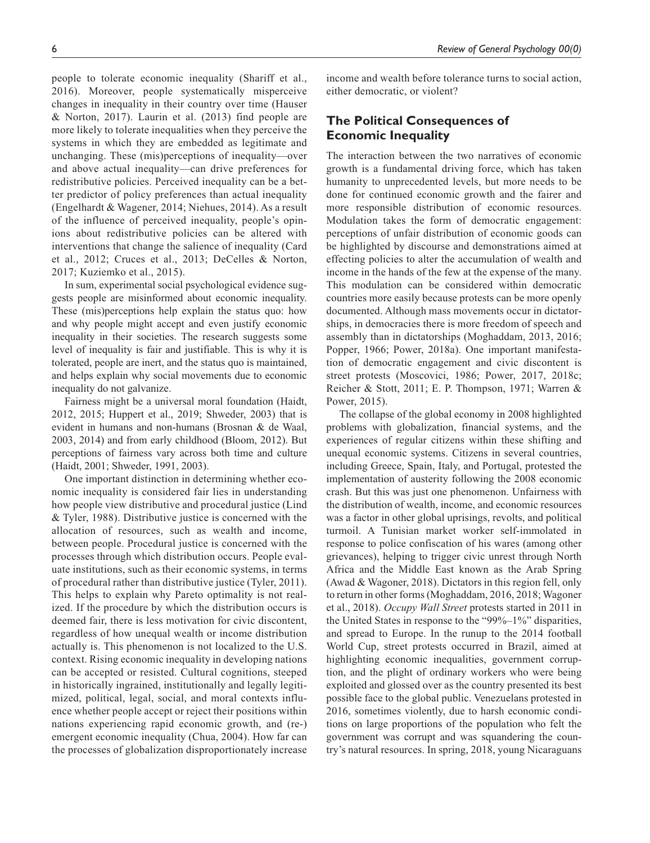people to tolerate economic inequality (Shariff et al., 2016). Moreover, people systematically misperceive changes in inequality in their country over time (Hauser & Norton, 2017). Laurin et al. (2013) find people are more likely to tolerate inequalities when they perceive the systems in which they are embedded as legitimate and unchanging. These (mis)perceptions of inequality—over and above actual inequality—can drive preferences for redistributive policies. Perceived inequality can be a better predictor of policy preferences than actual inequality (Engelhardt & Wagener, 2014; Niehues, 2014). As a result of the influence of perceived inequality, people's opinions about redistributive policies can be altered with interventions that change the salience of inequality (Card et al., 2012; Cruces et al., 2013; DeCelles & Norton, 2017; Kuziemko et al., 2015).

In sum, experimental social psychological evidence suggests people are misinformed about economic inequality. These (mis)perceptions help explain the status quo: how and why people might accept and even justify economic inequality in their societies. The research suggests some level of inequality is fair and justifiable. This is why it is tolerated, people are inert, and the status quo is maintained, and helps explain why social movements due to economic inequality do not galvanize.

Fairness might be a universal moral foundation (Haidt, 2012, 2015; Huppert et al., 2019; Shweder, 2003) that is evident in humans and non-humans (Brosnan & de Waal, 2003, 2014) and from early childhood (Bloom, 2012). But perceptions of fairness vary across both time and culture (Haidt, 2001; Shweder, 1991, 2003).

One important distinction in determining whether economic inequality is considered fair lies in understanding how people view distributive and procedural justice (Lind & Tyler, 1988). Distributive justice is concerned with the allocation of resources, such as wealth and income, between people. Procedural justice is concerned with the processes through which distribution occurs. People evaluate institutions, such as their economic systems, in terms of procedural rather than distributive justice (Tyler, 2011). This helps to explain why Pareto optimality is not realized. If the procedure by which the distribution occurs is deemed fair, there is less motivation for civic discontent, regardless of how unequal wealth or income distribution actually is. This phenomenon is not localized to the U.S. context. Rising economic inequality in developing nations can be accepted or resisted. Cultural cognitions, steeped in historically ingrained, institutionally and legally legitimized, political, legal, social, and moral contexts influence whether people accept or reject their positions within nations experiencing rapid economic growth, and (re-) emergent economic inequality (Chua, 2004). How far can the processes of globalization disproportionately increase income and wealth before tolerance turns to social action, either democratic, or violent?

### **The Political Consequences of Economic Inequality**

The interaction between the two narratives of economic growth is a fundamental driving force, which has taken humanity to unprecedented levels, but more needs to be done for continued economic growth and the fairer and more responsible distribution of economic resources. Modulation takes the form of democratic engagement: perceptions of unfair distribution of economic goods can be highlighted by discourse and demonstrations aimed at effecting policies to alter the accumulation of wealth and income in the hands of the few at the expense of the many. This modulation can be considered within democratic countries more easily because protests can be more openly documented. Although mass movements occur in dictatorships, in democracies there is more freedom of speech and assembly than in dictatorships (Moghaddam, 2013, 2016; Popper, 1966; Power, 2018a). One important manifestation of democratic engagement and civic discontent is street protests (Moscovici, 1986; Power, 2017, 2018c; Reicher & Stott, 2011; E. P. Thompson, 1971; Warren & Power, 2015).

The collapse of the global economy in 2008 highlighted problems with globalization, financial systems, and the experiences of regular citizens within these shifting and unequal economic systems. Citizens in several countries, including Greece, Spain, Italy, and Portugal, protested the implementation of austerity following the 2008 economic crash. But this was just one phenomenon. Unfairness with the distribution of wealth, income, and economic resources was a factor in other global uprisings, revolts, and political turmoil. A Tunisian market worker self-immolated in response to police confiscation of his wares (among other grievances), helping to trigger civic unrest through North Africa and the Middle East known as the Arab Spring (Awad & Wagoner, 2018). Dictators in this region fell, only to return in other forms (Moghaddam, 2016, 2018; Wagoner et al., 2018). *Occupy Wall Street* protests started in 2011 in the United States in response to the "99%–1%" disparities, and spread to Europe. In the runup to the 2014 football World Cup, street protests occurred in Brazil, aimed at highlighting economic inequalities, government corruption, and the plight of ordinary workers who were being exploited and glossed over as the country presented its best possible face to the global public. Venezuelans protested in 2016, sometimes violently, due to harsh economic conditions on large proportions of the population who felt the government was corrupt and was squandering the country's natural resources. In spring, 2018, young Nicaraguans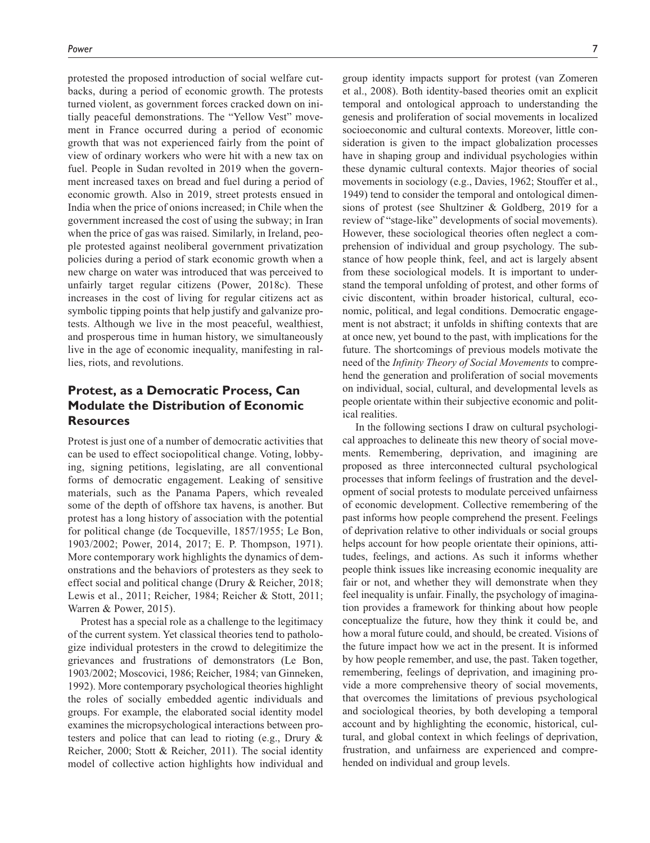protested the proposed introduction of social welfare cutbacks, during a period of economic growth. The protests turned violent, as government forces cracked down on initially peaceful demonstrations. The "Yellow Vest" movement in France occurred during a period of economic growth that was not experienced fairly from the point of view of ordinary workers who were hit with a new tax on fuel. People in Sudan revolted in 2019 when the government increased taxes on bread and fuel during a period of economic growth. Also in 2019, street protests ensued in India when the price of onions increased; in Chile when the government increased the cost of using the subway; in Iran when the price of gas was raised. Similarly, in Ireland, people protested against neoliberal government privatization policies during a period of stark economic growth when a new charge on water was introduced that was perceived to unfairly target regular citizens (Power, 2018c). These increases in the cost of living for regular citizens act as symbolic tipping points that help justify and galvanize protests. Although we live in the most peaceful, wealthiest, and prosperous time in human history, we simultaneously live in the age of economic inequality, manifesting in rallies, riots, and revolutions.

# **Protest, as a Democratic Process, Can Modulate the Distribution of Economic Resources**

Protest is just one of a number of democratic activities that can be used to effect sociopolitical change. Voting, lobbying, signing petitions, legislating, are all conventional forms of democratic engagement. Leaking of sensitive materials, such as the Panama Papers, which revealed some of the depth of offshore tax havens, is another. But protest has a long history of association with the potential for political change (de Tocqueville, 1857/1955; Le Bon, 1903/2002; Power, 2014, 2017; E. P. Thompson, 1971). More contemporary work highlights the dynamics of demonstrations and the behaviors of protesters as they seek to effect social and political change (Drury & Reicher, 2018; Lewis et al., 2011; Reicher, 1984; Reicher & Stott, 2011; Warren & Power, 2015).

Protest has a special role as a challenge to the legitimacy of the current system. Yet classical theories tend to pathologize individual protesters in the crowd to delegitimize the grievances and frustrations of demonstrators (Le Bon, 1903/2002; Moscovici, 1986; Reicher, 1984; van Ginneken, 1992). More contemporary psychological theories highlight the roles of socially embedded agentic individuals and groups. For example, the elaborated social identity model examines the micropsychological interactions between protesters and police that can lead to rioting (e.g., Drury & Reicher, 2000; Stott & Reicher, 2011). The social identity model of collective action highlights how individual and group identity impacts support for protest (van Zomeren et al., 2008). Both identity-based theories omit an explicit temporal and ontological approach to understanding the genesis and proliferation of social movements in localized socioeconomic and cultural contexts. Moreover, little consideration is given to the impact globalization processes have in shaping group and individual psychologies within these dynamic cultural contexts. Major theories of social movements in sociology (e.g., Davies, 1962; Stouffer et al., 1949) tend to consider the temporal and ontological dimensions of protest (see Shultziner & Goldberg, 2019 for a review of "stage-like" developments of social movements). However, these sociological theories often neglect a comprehension of individual and group psychology. The substance of how people think, feel, and act is largely absent from these sociological models. It is important to understand the temporal unfolding of protest, and other forms of civic discontent, within broader historical, cultural, economic, political, and legal conditions. Democratic engagement is not abstract; it unfolds in shifting contexts that are at once new, yet bound to the past, with implications for the future. The shortcomings of previous models motivate the need of the *Infinity Theory of Social Movements* to comprehend the generation and proliferation of social movements on individual, social, cultural, and developmental levels as people orientate within their subjective economic and political realities.

In the following sections I draw on cultural psychological approaches to delineate this new theory of social movements. Remembering, deprivation, and imagining are proposed as three interconnected cultural psychological processes that inform feelings of frustration and the development of social protests to modulate perceived unfairness of economic development. Collective remembering of the past informs how people comprehend the present. Feelings of deprivation relative to other individuals or social groups helps account for how people orientate their opinions, attitudes, feelings, and actions. As such it informs whether people think issues like increasing economic inequality are fair or not, and whether they will demonstrate when they feel inequality is unfair. Finally, the psychology of imagination provides a framework for thinking about how people conceptualize the future, how they think it could be, and how a moral future could, and should, be created. Visions of the future impact how we act in the present. It is informed by how people remember, and use, the past. Taken together, remembering, feelings of deprivation, and imagining provide a more comprehensive theory of social movements, that overcomes the limitations of previous psychological and sociological theories, by both developing a temporal account and by highlighting the economic, historical, cultural, and global context in which feelings of deprivation, frustration, and unfairness are experienced and comprehended on individual and group levels.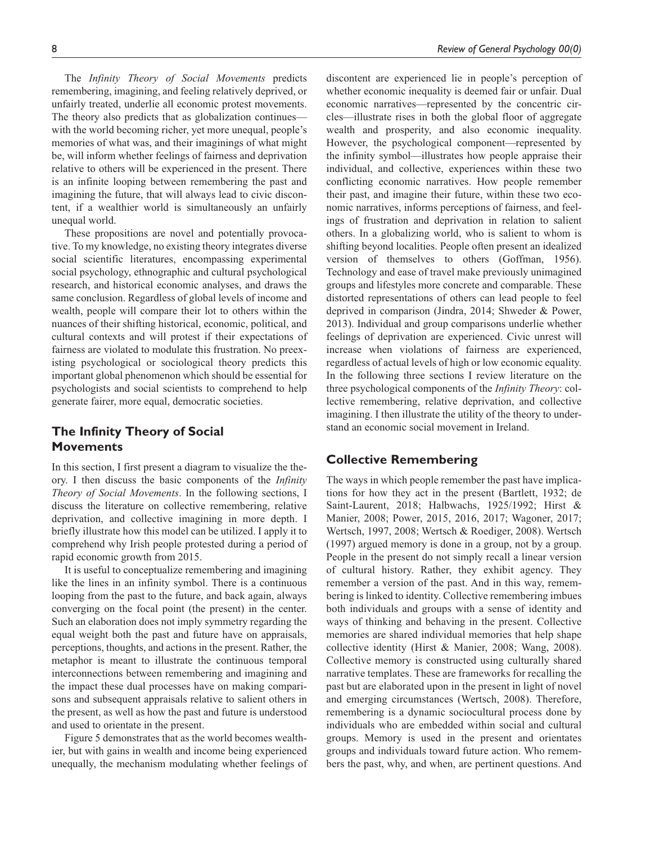The *Infinity Theory of Social Movements* predicts remembering, imagining, and feeling relatively deprived, or unfairly treated, underlie all economic protest movements. The theory also predicts that as globalization continues with the world becoming richer, yet more unequal, people's memories of what was, and their imaginings of what might be, will inform whether feelings of fairness and deprivation relative to others will be experienced in the present. There is an infinite looping between remembering the past and imagining the future, that will always lead to civic discontent, if a wealthier world is simultaneously an unfairly unequal world.

These propositions are novel and potentially provocative. To my knowledge, no existing theory integrates diverse social scientific literatures, encompassing experimental social psychology, ethnographic and cultural psychological research, and historical economic analyses, and draws the same conclusion. Regardless of global levels of income and wealth, people will compare their lot to others within the nuances of their shifting historical, economic, political, and cultural contexts and will protest if their expectations of fairness are violated to modulate this frustration. No preexisting psychological or sociological theory predicts this important global phenomenon which should be essential for psychologists and social scientists to comprehend to help generate fairer, more equal, democratic societies.

# **The Infinity Theory of Social Movements**

In this section, I first present a diagram to visualize the theory. I then discuss the basic components of the *Infinity Theory of Social Movements*. In the following sections, I discuss the literature on collective remembering, relative deprivation, and collective imagining in more depth. I briefly illustrate how this model can be utilized. I apply it to comprehend why Irish people protested during a period of rapid economic growth from 2015.

It is useful to conceptualize remembering and imagining like the lines in an infinity symbol. There is a continuous looping from the past to the future, and back again, always converging on the focal point (the present) in the center. Such an elaboration does not imply symmetry regarding the equal weight both the past and future have on appraisals, perceptions, thoughts, and actions in the present. Rather, the metaphor is meant to illustrate the continuous temporal interconnections between remembering and imagining and the impact these dual processes have on making comparisons and subsequent appraisals relative to salient others in the present, as well as how the past and future is understood and used to orientate in the present.

Figure 5 demonstrates that as the world becomes wealthier, but with gains in wealth and income being experienced unequally, the mechanism modulating whether feelings of discontent are experienced lie in people's perception of whether economic inequality is deemed fair or unfair. Dual economic narratives—represented by the concentric circles—illustrate rises in both the global floor of aggregate wealth and prosperity, and also economic inequality. However, the psychological component—represented by the infinity symbol—illustrates how people appraise their individual, and collective, experiences within these two conflicting economic narratives. How people remember their past, and imagine their future, within these two economic narratives, informs perceptions of fairness, and feelings of frustration and deprivation in relation to salient others. In a globalizing world, who is salient to whom is shifting beyond localities. People often present an idealized version of themselves to others (Goffman, 1956). Technology and ease of travel make previously unimagined groups and lifestyles more concrete and comparable. These distorted representations of others can lead people to feel deprived in comparison (Jindra, 2014; Shweder & Power, 2013). Individual and group comparisons underlie whether feelings of deprivation are experienced. Civic unrest will increase when violations of fairness are experienced, regardless of actual levels of high or low economic equality. In the following three sections I review literature on the three psychological components of the *Infinity Theory*: collective remembering, relative deprivation, and collective imagining. I then illustrate the utility of the theory to understand an economic social movement in Ireland.

### **Collective Remembering**

The ways in which people remember the past have implications for how they act in the present (Bartlett, 1932; de Saint-Laurent, 2018; Halbwachs, 1925/1992; Hirst & Manier, 2008; Power, 2015, 2016, 2017; Wagoner, 2017; Wertsch, 1997, 2008; Wertsch & Roediger, 2008). Wertsch (1997) argued memory is done in a group, not by a group. People in the present do not simply recall a linear version of cultural history. Rather, they exhibit agency. They remember a version of the past. And in this way, remembering is linked to identity. Collective remembering imbues both individuals and groups with a sense of identity and ways of thinking and behaving in the present. Collective memories are shared individual memories that help shape collective identity (Hirst & Manier, 2008; Wang, 2008). Collective memory is constructed using culturally shared narrative templates. These are frameworks for recalling the past but are elaborated upon in the present in light of novel and emerging circumstances (Wertsch, 2008). Therefore, remembering is a dynamic sociocultural process done by individuals who are embedded within social and cultural groups. Memory is used in the present and orientates groups and individuals toward future action. Who remembers the past, why, and when, are pertinent questions. And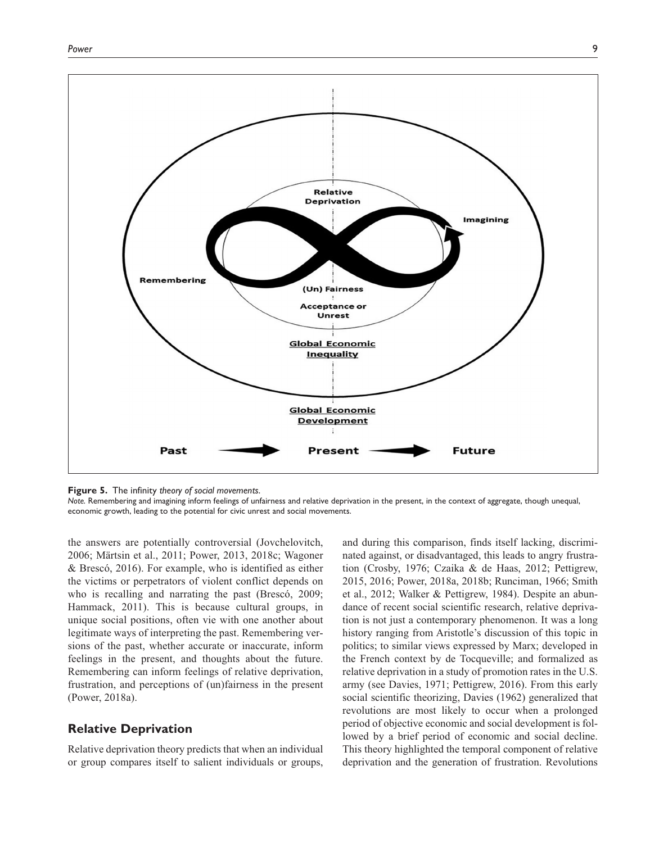

**Figure 5.** The infinity *theory of social movements*.

*Note.* Remembering and imagining inform feelings of unfairness and relative deprivation in the present, in the context of aggregate, though unequal, economic growth, leading to the potential for civic unrest and social movements.

the answers are potentially controversial (Jovchelovitch, 2006; Märtsin et al., 2011; Power, 2013, 2018c; Wagoner & Brescó, 2016). For example, who is identified as either the victims or perpetrators of violent conflict depends on who is recalling and narrating the past (Brescó, 2009; Hammack, 2011). This is because cultural groups, in unique social positions, often vie with one another about legitimate ways of interpreting the past. Remembering versions of the past, whether accurate or inaccurate, inform feelings in the present, and thoughts about the future. Remembering can inform feelings of relative deprivation, frustration, and perceptions of (un)fairness in the present (Power, 2018a).

#### **Relative Deprivation**

Relative deprivation theory predicts that when an individual or group compares itself to salient individuals or groups, and during this comparison, finds itself lacking, discriminated against, or disadvantaged, this leads to angry frustration (Crosby, 1976; Czaika & de Haas, 2012; Pettigrew, 2015, 2016; Power, 2018a, 2018b; Runciman, 1966; Smith et al., 2012; Walker & Pettigrew, 1984). Despite an abundance of recent social scientific research, relative deprivation is not just a contemporary phenomenon. It was a long history ranging from Aristotle's discussion of this topic in politics; to similar views expressed by Marx; developed in the French context by de Tocqueville; and formalized as relative deprivation in a study of promotion rates in the U.S. army (see Davies, 1971; Pettigrew, 2016). From this early social scientific theorizing, Davies (1962) generalized that revolutions are most likely to occur when a prolonged period of objective economic and social development is followed by a brief period of economic and social decline. This theory highlighted the temporal component of relative deprivation and the generation of frustration. Revolutions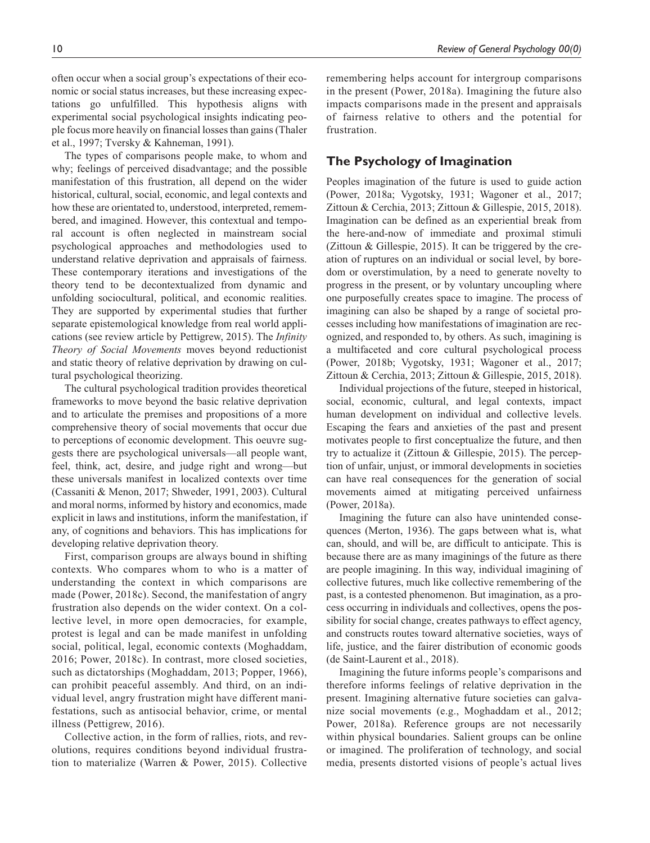nomic or social status increases, but these increasing expectations go unfulfilled. This hypothesis aligns with experimental social psychological insights indicating people focus more heavily on financial losses than gains (Thaler et al., 1997; Tversky & Kahneman, 1991).

The types of comparisons people make, to whom and why; feelings of perceived disadvantage; and the possible manifestation of this frustration, all depend on the wider historical, cultural, social, economic, and legal contexts and how these are orientated to, understood, interpreted, remembered, and imagined. However, this contextual and temporal account is often neglected in mainstream social psychological approaches and methodologies used to understand relative deprivation and appraisals of fairness. These contemporary iterations and investigations of the theory tend to be decontextualized from dynamic and unfolding sociocultural, political, and economic realities. They are supported by experimental studies that further separate epistemological knowledge from real world applications (see review article by Pettigrew, 2015). The *Infinity Theory of Social Movements* moves beyond reductionist and static theory of relative deprivation by drawing on cultural psychological theorizing.

The cultural psychological tradition provides theoretical frameworks to move beyond the basic relative deprivation and to articulate the premises and propositions of a more comprehensive theory of social movements that occur due to perceptions of economic development. This oeuvre suggests there are psychological universals—all people want, feel, think, act, desire, and judge right and wrong—but these universals manifest in localized contexts over time (Cassaniti & Menon, 2017; Shweder, 1991, 2003). Cultural and moral norms, informed by history and economics, made explicit in laws and institutions, inform the manifestation, if any, of cognitions and behaviors. This has implications for developing relative deprivation theory.

First, comparison groups are always bound in shifting contexts. Who compares whom to who is a matter of understanding the context in which comparisons are made (Power, 2018c). Second, the manifestation of angry frustration also depends on the wider context. On a collective level, in more open democracies, for example, protest is legal and can be made manifest in unfolding social, political, legal, economic contexts (Moghaddam, 2016; Power, 2018c). In contrast, more closed societies, such as dictatorships (Moghaddam, 2013; Popper, 1966), can prohibit peaceful assembly. And third, on an individual level, angry frustration might have different manifestations, such as antisocial behavior, crime, or mental illness (Pettigrew, 2016).

Collective action, in the form of rallies, riots, and revolutions, requires conditions beyond individual frustration to materialize (Warren & Power, 2015). Collective remembering helps account for intergroup comparisons in the present (Power, 2018a). Imagining the future also impacts comparisons made in the present and appraisals of fairness relative to others and the potential for frustration.

## **The Psychology of Imagination**

Peoples imagination of the future is used to guide action (Power, 2018a; Vygotsky, 1931; Wagoner et al., 2017; Zittoun & Cerchia, 2013; Zittoun & Gillespie, 2015, 2018). Imagination can be defined as an experiential break from the here-and-now of immediate and proximal stimuli (Zittoun & Gillespie, 2015). It can be triggered by the creation of ruptures on an individual or social level, by boredom or overstimulation, by a need to generate novelty to progress in the present, or by voluntary uncoupling where one purposefully creates space to imagine. The process of imagining can also be shaped by a range of societal processes including how manifestations of imagination are recognized, and responded to, by others. As such, imagining is a multifaceted and core cultural psychological process (Power, 2018b; Vygotsky, 1931; Wagoner et al., 2017; Zittoun & Cerchia, 2013; Zittoun & Gillespie, 2015, 2018).

Individual projections of the future, steeped in historical, social, economic, cultural, and legal contexts, impact human development on individual and collective levels. Escaping the fears and anxieties of the past and present motivates people to first conceptualize the future, and then try to actualize it (Zittoun & Gillespie, 2015). The perception of unfair, unjust, or immoral developments in societies can have real consequences for the generation of social movements aimed at mitigating perceived unfairness (Power, 2018a).

Imagining the future can also have unintended consequences (Merton, 1936). The gaps between what is, what can, should, and will be, are difficult to anticipate. This is because there are as many imaginings of the future as there are people imagining. In this way, individual imagining of collective futures, much like collective remembering of the past, is a contested phenomenon. But imagination, as a process occurring in individuals and collectives, opens the possibility for social change, creates pathways to effect agency, and constructs routes toward alternative societies, ways of life, justice, and the fairer distribution of economic goods (de Saint-Laurent et al., 2018).

Imagining the future informs people's comparisons and therefore informs feelings of relative deprivation in the present. Imagining alternative future societies can galvanize social movements (e.g., Moghaddam et al., 2012; Power, 2018a). Reference groups are not necessarily within physical boundaries. Salient groups can be online or imagined. The proliferation of technology, and social media, presents distorted visions of people's actual lives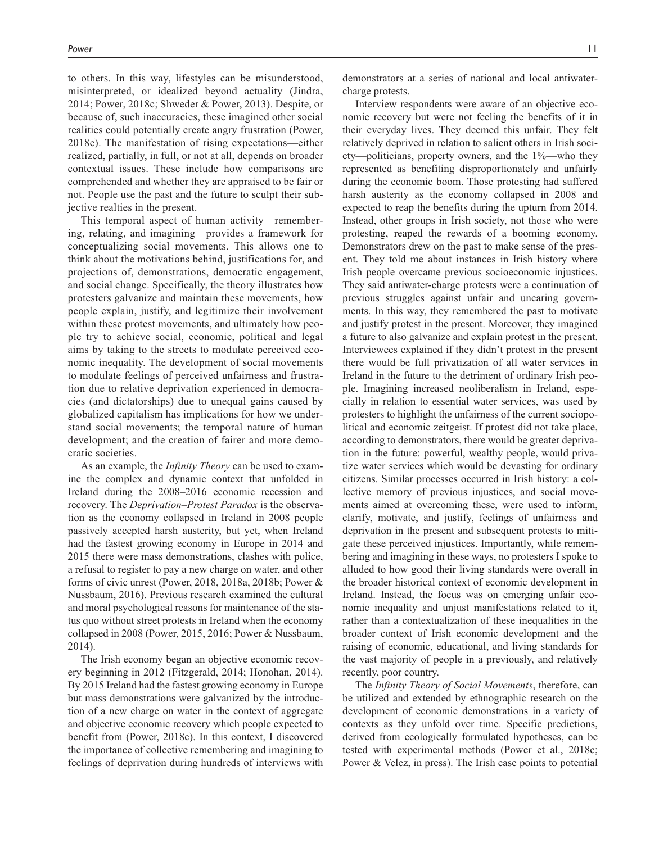to others. In this way, lifestyles can be misunderstood, misinterpreted, or idealized beyond actuality (Jindra, 2014; Power, 2018c; Shweder & Power, 2013). Despite, or because of, such inaccuracies, these imagined other social realities could potentially create angry frustration (Power, 2018c). The manifestation of rising expectations—either realized, partially, in full, or not at all, depends on broader contextual issues. These include how comparisons are comprehended and whether they are appraised to be fair or not. People use the past and the future to sculpt their subjective realties in the present.

This temporal aspect of human activity—remembering, relating, and imagining—provides a framework for conceptualizing social movements. This allows one to think about the motivations behind, justifications for, and projections of, demonstrations, democratic engagement, and social change. Specifically, the theory illustrates how protesters galvanize and maintain these movements, how people explain, justify, and legitimize their involvement within these protest movements, and ultimately how people try to achieve social, economic, political and legal aims by taking to the streets to modulate perceived economic inequality. The development of social movements to modulate feelings of perceived unfairness and frustration due to relative deprivation experienced in democracies (and dictatorships) due to unequal gains caused by globalized capitalism has implications for how we understand social movements; the temporal nature of human development; and the creation of fairer and more democratic societies.

As an example, the *Infinity Theory* can be used to examine the complex and dynamic context that unfolded in Ireland during the 2008–2016 economic recession and recovery. The *Deprivation–Protest Paradox* is the observation as the economy collapsed in Ireland in 2008 people passively accepted harsh austerity, but yet, when Ireland had the fastest growing economy in Europe in 2014 and 2015 there were mass demonstrations, clashes with police, a refusal to register to pay a new charge on water, and other forms of civic unrest (Power, 2018, 2018a, 2018b; Power & Nussbaum, 2016). Previous research examined the cultural and moral psychological reasons for maintenance of the status quo without street protests in Ireland when the economy collapsed in 2008 (Power, 2015, 2016; Power & Nussbaum, 2014).

The Irish economy began an objective economic recovery beginning in 2012 (Fitzgerald, 2014; Honohan, 2014). By 2015 Ireland had the fastest growing economy in Europe but mass demonstrations were galvanized by the introduction of a new charge on water in the context of aggregate and objective economic recovery which people expected to benefit from (Power, 2018c). In this context, I discovered the importance of collective remembering and imagining to feelings of deprivation during hundreds of interviews with

demonstrators at a series of national and local antiwatercharge protests.

Interview respondents were aware of an objective economic recovery but were not feeling the benefits of it in their everyday lives. They deemed this unfair. They felt relatively deprived in relation to salient others in Irish society—politicians, property owners, and the 1%—who they represented as benefiting disproportionately and unfairly during the economic boom. Those protesting had suffered harsh austerity as the economy collapsed in 2008 and expected to reap the benefits during the upturn from 2014. Instead, other groups in Irish society, not those who were protesting, reaped the rewards of a booming economy. Demonstrators drew on the past to make sense of the present. They told me about instances in Irish history where Irish people overcame previous socioeconomic injustices. They said antiwater-charge protests were a continuation of previous struggles against unfair and uncaring governments. In this way, they remembered the past to motivate and justify protest in the present. Moreover, they imagined a future to also galvanize and explain protest in the present. Interviewees explained if they didn't protest in the present there would be full privatization of all water services in Ireland in the future to the detriment of ordinary Irish people. Imagining increased neoliberalism in Ireland, especially in relation to essential water services, was used by protesters to highlight the unfairness of the current sociopolitical and economic zeitgeist. If protest did not take place, according to demonstrators, there would be greater deprivation in the future: powerful, wealthy people, would privatize water services which would be devasting for ordinary citizens. Similar processes occurred in Irish history: a collective memory of previous injustices, and social movements aimed at overcoming these, were used to inform, clarify, motivate, and justify, feelings of unfairness and deprivation in the present and subsequent protests to mitigate these perceived injustices. Importantly, while remembering and imagining in these ways, no protesters I spoke to alluded to how good their living standards were overall in the broader historical context of economic development in Ireland. Instead, the focus was on emerging unfair economic inequality and unjust manifestations related to it, rather than a contextualization of these inequalities in the broader context of Irish economic development and the raising of economic, educational, and living standards for the vast majority of people in a previously, and relatively recently, poor country.

The *Infinity Theory of Social Movements*, therefore, can be utilized and extended by ethnographic research on the development of economic demonstrations in a variety of contexts as they unfold over time. Specific predictions, derived from ecologically formulated hypotheses, can be tested with experimental methods (Power et al., 2018c; Power & Velez, in press). The Irish case points to potential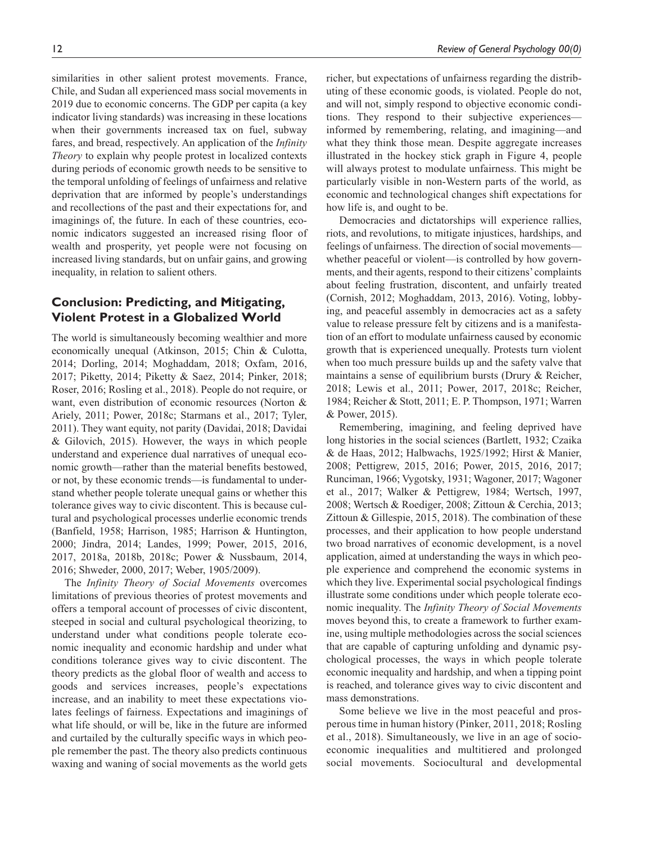similarities in other salient protest movements. France, Chile, and Sudan all experienced mass social movements in 2019 due to economic concerns. The GDP per capita (a key indicator living standards) was increasing in these locations when their governments increased tax on fuel, subway fares, and bread, respectively. An application of the *Infinity Theory* to explain why people protest in localized contexts during periods of economic growth needs to be sensitive to the temporal unfolding of feelings of unfairness and relative deprivation that are informed by people's understandings and recollections of the past and their expectations for, and imaginings of, the future. In each of these countries, economic indicators suggested an increased rising floor of wealth and prosperity, yet people were not focusing on increased living standards, but on unfair gains, and growing inequality, in relation to salient others.

### **Conclusion: Predicting, and Mitigating, Violent Protest in a Globalized World**

The world is simultaneously becoming wealthier and more economically unequal (Atkinson, 2015; Chin & Culotta, 2014; Dorling, 2014; Moghaddam, 2018; Oxfam, 2016, 2017; Piketty, 2014; Piketty & Saez, 2014; Pinker, 2018; Roser, 2016; Rosling et al., 2018). People do not require, or want, even distribution of economic resources (Norton & Ariely, 2011; Power, 2018c; Starmans et al., 2017; Tyler, 2011). They want equity, not parity (Davidai, 2018; Davidai & Gilovich, 2015). However, the ways in which people understand and experience dual narratives of unequal economic growth—rather than the material benefits bestowed, or not, by these economic trends—is fundamental to understand whether people tolerate unequal gains or whether this tolerance gives way to civic discontent. This is because cultural and psychological processes underlie economic trends (Banfield, 1958; Harrison, 1985; Harrison & Huntington, 2000; Jindra, 2014; Landes, 1999; Power, 2015, 2016, 2017, 2018a, 2018b, 2018c; Power & Nussbaum, 2014, 2016; Shweder, 2000, 2017; Weber, 1905/2009).

The *Infinity Theory of Social Movements* overcomes limitations of previous theories of protest movements and offers a temporal account of processes of civic discontent, steeped in social and cultural psychological theorizing, to understand under what conditions people tolerate economic inequality and economic hardship and under what conditions tolerance gives way to civic discontent. The theory predicts as the global floor of wealth and access to goods and services increases, people's expectations increase, and an inability to meet these expectations violates feelings of fairness. Expectations and imaginings of what life should, or will be, like in the future are informed and curtailed by the culturally specific ways in which people remember the past. The theory also predicts continuous waxing and waning of social movements as the world gets

richer, but expectations of unfairness regarding the distributing of these economic goods, is violated. People do not, and will not, simply respond to objective economic conditions. They respond to their subjective experiences informed by remembering, relating, and imagining—and what they think those mean. Despite aggregate increases illustrated in the hockey stick graph in Figure 4, people will always protest to modulate unfairness. This might be particularly visible in non-Western parts of the world, as economic and technological changes shift expectations for how life is, and ought to be.

Democracies and dictatorships will experience rallies, riots, and revolutions, to mitigate injustices, hardships, and feelings of unfairness. The direction of social movements whether peaceful or violent—is controlled by how governments, and their agents, respond to their citizens' complaints about feeling frustration, discontent, and unfairly treated (Cornish, 2012; Moghaddam, 2013, 2016). Voting, lobbying, and peaceful assembly in democracies act as a safety value to release pressure felt by citizens and is a manifestation of an effort to modulate unfairness caused by economic growth that is experienced unequally. Protests turn violent when too much pressure builds up and the safety valve that maintains a sense of equilibrium bursts (Drury & Reicher, 2018; Lewis et al., 2011; Power, 2017, 2018c; Reicher, 1984; Reicher & Stott, 2011; E. P. Thompson, 1971; Warren & Power, 2015).

Remembering, imagining, and feeling deprived have long histories in the social sciences (Bartlett, 1932; Czaika & de Haas, 2012; Halbwachs, 1925/1992; Hirst & Manier, 2008; Pettigrew, 2015, 2016; Power, 2015, 2016, 2017; Runciman, 1966; Vygotsky, 1931; Wagoner, 2017; Wagoner et al., 2017; Walker & Pettigrew, 1984; Wertsch, 1997, 2008; Wertsch & Roediger, 2008; Zittoun & Cerchia, 2013; Zittoun & Gillespie, 2015, 2018). The combination of these processes, and their application to how people understand two broad narratives of economic development, is a novel application, aimed at understanding the ways in which people experience and comprehend the economic systems in which they live. Experimental social psychological findings illustrate some conditions under which people tolerate economic inequality. The *Infinity Theory of Social Movements* moves beyond this, to create a framework to further examine, using multiple methodologies across the social sciences that are capable of capturing unfolding and dynamic psychological processes, the ways in which people tolerate economic inequality and hardship, and when a tipping point is reached, and tolerance gives way to civic discontent and mass demonstrations.

Some believe we live in the most peaceful and prosperous time in human history (Pinker, 2011, 2018; Rosling et al., 2018). Simultaneously, we live in an age of socioeconomic inequalities and multitiered and prolonged social movements. Sociocultural and developmental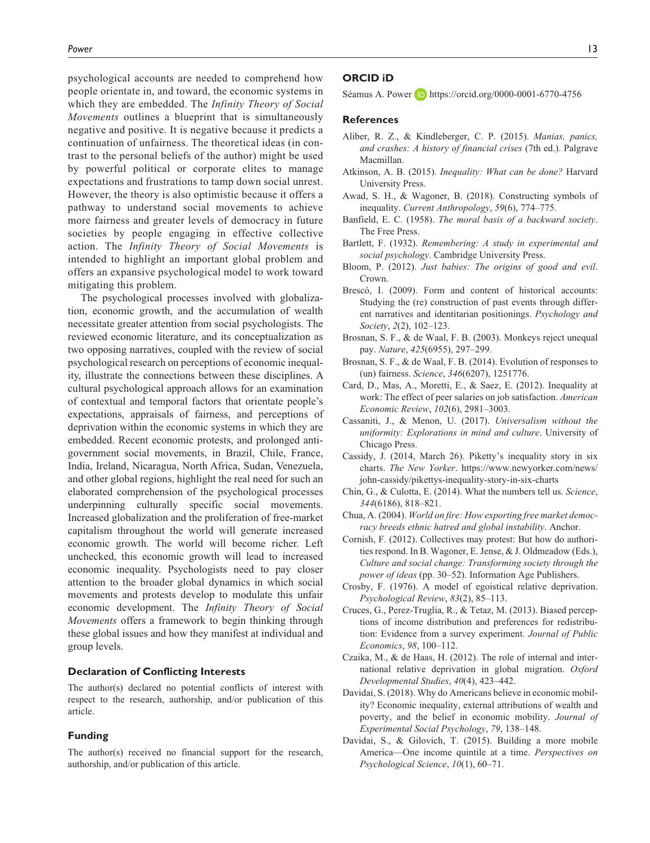psychological accounts are needed to comprehend how people orientate in, and toward, the economic systems in which they are embedded. The *Infinity Theory of Social Movements* outlines a blueprint that is simultaneously negative and positive. It is negative because it predicts a continuation of unfairness. The theoretical ideas (in contrast to the personal beliefs of the author) might be used by powerful political or corporate elites to manage expectations and frustrations to tamp down social unrest. However, the theory is also optimistic because it offers a pathway to understand social movements to achieve more fairness and greater levels of democracy in future societies by people engaging in effective collective action. The *Infinity Theory of Social Movements* is intended to highlight an important global problem and offers an expansive psychological model to work toward mitigating this problem.

The psychological processes involved with globalization, economic growth, and the accumulation of wealth necessitate greater attention from social psychologists. The reviewed economic literature, and its conceptualization as two opposing narratives, coupled with the review of social psychological research on perceptions of economic inequality, illustrate the connections between these disciplines. A cultural psychological approach allows for an examination of contextual and temporal factors that orientate people's expectations, appraisals of fairness, and perceptions of deprivation within the economic systems in which they are embedded. Recent economic protests, and prolonged antigovernment social movements, in Brazil, Chile, France, India, Ireland, Nicaragua, North Africa, Sudan, Venezuela, and other global regions, highlight the real need for such an elaborated comprehension of the psychological processes underpinning culturally specific social movements. Increased globalization and the proliferation of free-market capitalism throughout the world will generate increased economic growth. The world will become richer. Left unchecked, this economic growth will lead to increased economic inequality. Psychologists need to pay closer attention to the broader global dynamics in which social movements and protests develop to modulate this unfair economic development. The *Infinity Theory of Social Movements* offers a framework to begin thinking through these global issues and how they manifest at individual and group levels.

#### **Declaration of Conflicting Interests**

The author(s) declared no potential conflicts of interest with respect to the research, authorship, and/or publication of this article.

#### **Funding**

The author(s) received no financial support for the research, authorship, and/or publication of this article.

#### **ORCID iD**

Séamus A. Power **b** <https://orcid.org/0000-0001-6770-4756>

#### **References**

- Aliber, R. Z., & Kindleberger, C. P. (2015). *Manias, panics, and crashes: A history of financial crises* (7th ed.). Palgrave Macmillan.
- Atkinson, A. B. (2015). *Inequality: What can be done?* Harvard University Press.
- Awad, S. H., & Wagoner, B. (2018). Constructing symbols of inequality. *Current Anthropology*, *59*(6), 774–775.
- Banfield, E. C. (1958). *The moral basis of a backward society*. The Free Press.
- Bartlett, F. (1932). *Remembering: A study in experimental and social psychology*. Cambridge University Press.
- Bloom, P. (2012). *Just babies: The origins of good and evil*. Crown.
- Brescó, I. (2009). Form and content of historical accounts: Studying the (re) construction of past events through different narratives and identitarian positionings. *Psychology and Society*, *2*(2), 102–123.
- Brosnan, S. F., & de Waal, F. B. (2003). Monkeys reject unequal pay. *Nature*, *425*(6955), 297–299.
- Brosnan, S. F., & de Waal, F. B. (2014). Evolution of responses to (un) fairness. *Science*, *346*(6207), 1251776.
- Card, D., Mas, A., Moretti, E., & Saez, E. (2012). Inequality at work: The effect of peer salaries on job satisfaction. *American Economic Review*, *102*(6), 2981–3003.
- Cassaniti, J., & Menon, U. (2017). *Universalism without the uniformity: Explorations in mind and culture*. University of Chicago Press.
- Cassidy, J. (2014, March 26). Piketty's inequality story in six charts. *The New Yorker*. [https://www.newyorker.com/news/](https://www.newyorker.com/news/john-cassidy/pikettys-inequality-story-in-six-charts) [john-cassidy/pikettys-inequality-story-in-six-charts](https://www.newyorker.com/news/john-cassidy/pikettys-inequality-story-in-six-charts)
- Chin, G., & Culotta, E. (2014). What the numbers tell us. *Science*, *344*(6186), 818–821.
- Chua, A. (2004). *World on fire: How exporting free market democracy breeds ethnic hatred and global instability*. Anchor.
- Cornish, F. (2012). Collectives may protest: But how do authorities respond. In B. Wagoner, E. Jense, & J. Oldmeadow (Eds.), *Culture and social change: Transforming society through the power of ideas* (pp. 30–52). Information Age Publishers.
- Crosby, F. (1976). A model of egoistical relative deprivation. *Psychological Review*, *83*(2), 85–113.
- Cruces, G., Perez-Truglia, R., & Tetaz, M. (2013). Biased perceptions of income distribution and preferences for redistribution: Evidence from a survey experiment. *Journal of Public Economics*, *98*, 100–112.
- Czaika, M., & de Haas, H. (2012). The role of internal and international relative deprivation in global migration. *Oxford Developmental Studies*, *40*(4), 423–442.
- Davidai, S. (2018). Why do Americans believe in economic mobility? Economic inequality, external attributions of wealth and poverty, and the belief in economic mobility. *Journal of Experimental Social Psychology*, *79*, 138–148.
- Davidai, S., & Gilovich, T. (2015). Building a more mobile America—One income quintile at a time. *Perspectives on Psychological Science*, *10*(1), 60–71.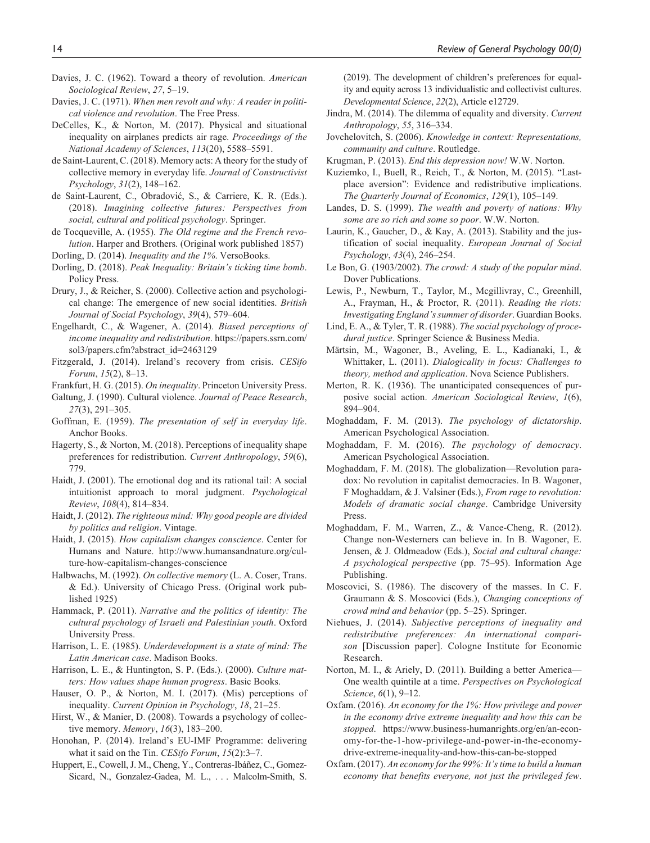- Davies, J. C. (1962). Toward a theory of revolution. *American Sociological Review*, *27*, 5–19.
- Davies, J. C. (1971). *When men revolt and why: A reader in political violence and revolution*. The Free Press.
- DeCelles, K., & Norton, M. (2017). Physical and situational inequality on airplanes predicts air rage. *Proceedings of the National Academy of Sciences*, *113*(20), 5588–5591.
- de Saint-Laurent, C. (2018). Memory acts: A theory for the study of collective memory in everyday life. *Journal of Constructivist Psychology*, *31*(2), 148–162.
- de Saint-Laurent, C., Obradović, S., & Carriere, K. R. (Eds.). (2018). *Imagining collective futures: Perspectives from social, cultural and political psychology*. Springer.
- de Tocqueville, A. (1955). *The Old regime and the French revolution*. Harper and Brothers. (Original work published 1857)
- Dorling, D. (2014). *Inequality and the 1%*. VersoBooks.
- Dorling, D. (2018). *Peak Inequality: Britain's ticking time bomb*. Policy Press.
- Drury, J., & Reicher, S. (2000). Collective action and psychological change: The emergence of new social identities. *British Journal of Social Psychology*, *39*(4), 579–604.
- Engelhardt, C., & Wagener, A. (2014). *Biased perceptions of income inequality and redistribution*. [https://papers.ssrn.com/](https://papers.ssrn.com/sol3/papers.cfm?abstract_id=2463129) [sol3/papers.cfm?abstract\\_id=2463129](https://papers.ssrn.com/sol3/papers.cfm?abstract_id=2463129)
- Fitzgerald, J. (2014). Ireland's recovery from crisis. *CESifo Forum*, *15*(2), 8–13.
- Frankfurt, H. G. (2015). *On inequality*. Princeton University Press.
- Galtung, J. (1990). Cultural violence. *Journal of Peace Research*, *27*(3), 291–305.
- Goffman, E. (1959). *The presentation of self in everyday life*. Anchor Books.
- Hagerty, S., & Norton, M. (2018). Perceptions of inequality shape preferences for redistribution. *Current Anthropology*, *59*(6), 779.
- Haidt, J. (2001). The emotional dog and its rational tail: A social intuitionist approach to moral judgment. *Psychological Review*, *108*(4), 814–834.
- Haidt, J. (2012). *The righteous mind: Why good people are divided by politics and religion*. Vintage.
- Haidt, J. (2015). *How capitalism changes conscience*. Center for Humans and Nature. [http://www.humansandnature.org/cul](http://www.humansandnature.org/culture-how-capitalism-changes-conscience)[ture-how-capitalism-changes-conscience](http://www.humansandnature.org/culture-how-capitalism-changes-conscience)
- Halbwachs, M. (1992). *On collective memory* (L. A. Coser, Trans. & Ed.). University of Chicago Press. (Original work published 1925)
- Hammack, P. (2011). *Narrative and the politics of identity: The cultural psychology of Israeli and Palestinian youth*. Oxford University Press.
- Harrison, L. E. (1985). *Underdevelopment is a state of mind: The Latin American case*. Madison Books.
- Harrison, L. E., & Huntington, S. P. (Eds.). (2000). *Culture matters: How values shape human progress*. Basic Books.
- Hauser, O. P., & Norton, M. I. (2017). (Mis) perceptions of inequality. *Current Opinion in Psychology*, *18*, 21–25.
- Hirst, W., & Manier, D. (2008). Towards a psychology of collective memory. *Memory*, *16*(3), 183–200.
- Honohan, P. (2014). Ireland's EU-IMF Programme: delivering what it said on the Tin. *CESifo Forum*, *15*(2):3–7.
- Huppert, E., Cowell, J. M., Cheng, Y., Contreras-Ibáñez, C., Gomez-Sicard, N., Gonzalez-Gadea, M. L., . . . Malcolm-Smith, S.

(2019). The development of children's preferences for equality and equity across 13 individualistic and collectivist cultures. *Developmental Science*, *22*(2), Article e12729.

- Jindra, M. (2014). The dilemma of equality and diversity. *Current Anthropology*, *55*, 316–334.
- Jovchelovitch, S. (2006). *Knowledge in context: Representations, community and culture*. Routledge.
- Krugman, P. (2013). *End this depression now!* W.W. Norton.
- Kuziemko, I., Buell, R., Reich, T., & Norton, M. (2015). "Lastplace aversion": Evidence and redistributive implications. *The Quarterly Journal of Economics*, *129*(1), 105–149.
- Landes, D. S. (1999). *The wealth and poverty of nations: Why some are so rich and some so poor*. W.W. Norton.
- Laurin, K., Gaucher, D., & Kay, A. (2013). Stability and the justification of social inequality. *European Journal of Social Psychology*, *43*(4), 246–254.
- Le Bon, G. (1903/2002). *The crowd: A study of the popular mind*. Dover Publications.
- Lewis, P., Newburn, T., Taylor, M., Mcgillivray, C., Greenhill, A., Frayman, H., & Proctor, R. (2011). *Reading the riots: Investigating England's summer of disorder*. Guardian Books.
- Lind, E. A., & Tyler, T. R. (1988). *The social psychology of procedural justice*. Springer Science & Business Media.
- Märtsin, M., Wagoner, B., Aveling, E. L., Kadianaki, I., & Whittaker, L. (2011). *Dialogicality in focus: Challenges to theory, method and application*. Nova Science Publishers.
- Merton, R. K. (1936). The unanticipated consequences of purposive social action. *American Sociological Review*, *1*(6), 894–904.
- Moghaddam, F. M. (2013). *The psychology of dictatorship*. American Psychological Association.
- Moghaddam, F. M. (2016). *The psychology of democracy*. American Psychological Association.
- Moghaddam, F. M. (2018). The globalization—Revolution paradox: No revolution in capitalist democracies. In B. Wagoner, F Moghaddam, & J. Valsiner (Eds.), *From rage to revolution: Models of dramatic social change*. Cambridge University Press.
- Moghaddam, F. M., Warren, Z., & Vance-Cheng, R. (2012). Change non-Westerners can believe in. In B. Wagoner, E. Jensen, & J. Oldmeadow (Eds.), *Social and cultural change: A psychological perspective* (pp. 75–95). Information Age Publishing.
- Moscovici, S. (1986). The discovery of the masses. In C. F. Graumann & S. Moscovici (Eds.), *Changing conceptions of crowd mind and behavior* (pp. 5–25). Springer.
- Niehues, J. (2014). *Subjective perceptions of inequality and redistributive preferences: An international comparison* [Discussion paper]. Cologne Institute for Economic Research.
- Norton, M. I., & Ariely, D. (2011). Building a better America— One wealth quintile at a time. *Perspectives on Psychological Science*, *6*(1), 9–12.
- Oxfam. (2016). *An economy for the 1%: How privilege and power in the economy drive extreme inequality and how this can be stopped*. [https://www.business-humanrights.org/en/an-econ](https://www.business-humanrights.org/en/an-economy-for-the-1-how-privilege-and-power-in-the-economy-drive-extreme-inequality-and-how-this-can-be-stopped)[omy-for-the-1-how-privilege-and-power-in-the-economy](https://www.business-humanrights.org/en/an-economy-for-the-1-how-privilege-and-power-in-the-economy-drive-extreme-inequality-and-how-this-can-be-stopped)[drive-extreme-inequality-and-how-this-can-be-stopped](https://www.business-humanrights.org/en/an-economy-for-the-1-how-privilege-and-power-in-the-economy-drive-extreme-inequality-and-how-this-can-be-stopped)
- Oxfam. (2017). *An economy for the 99%: It's time to build a human economy that benefits everyone, not just the privileged few*.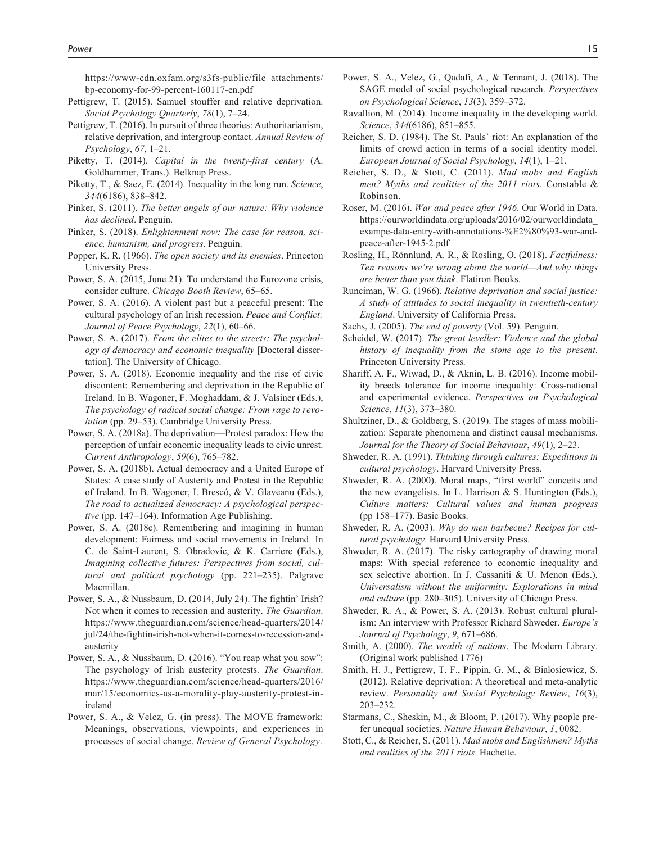[https://www-cdn.oxfam.org/s3fs-public/file\\_attachments/](https://www-cdn.oxfam.org/s3fs-public/file_attachments/bp-economy-for-99-percent-160117-en.pdf) [bp-economy-for-99-percent-160117-en.pdf](https://www-cdn.oxfam.org/s3fs-public/file_attachments/bp-economy-for-99-percent-160117-en.pdf)

- Pettigrew, T. (2015). Samuel stouffer and relative deprivation. *Social Psychology Quarterly*, *78*(1), 7–24.
- Pettigrew, T. (2016). In pursuit of three theories: Authoritarianism, relative deprivation, and intergroup contact. *Annual Review of Psychology*, *67*, 1–21.
- Piketty, T. (2014). *Capital in the twenty-first century* (A. Goldhammer, Trans.). Belknap Press.
- Piketty, T., & Saez, E. (2014). Inequality in the long run. *Science*, *344*(6186), 838–842.
- Pinker, S. (2011). *The better angels of our nature: Why violence has declined*. Penguin.
- Pinker, S. (2018). *Enlightenment now: The case for reason, science, humanism, and progress*. Penguin.
- Popper, K. R. (1966). *The open society and its enemies*. Princeton University Press.
- Power, S. A. (2015, June 21). To understand the Eurozone crisis, consider culture. *Chicago Booth Review*, 65–65.
- Power, S. A. (2016). A violent past but a peaceful present: The cultural psychology of an Irish recession. *Peace and Conflict: Journal of Peace Psychology*, *22*(1), 60–66.
- Power, S. A. (2017). *From the elites to the streets: The psychology of democracy and economic inequality* [Doctoral dissertation]. The University of Chicago.
- Power, S. A. (2018). Economic inequality and the rise of civic discontent: Remembering and deprivation in the Republic of Ireland. In B. Wagoner, F. Moghaddam, & J. Valsiner (Eds.), *The psychology of radical social change: From rage to revolution* (pp. 29–53). Cambridge University Press.
- Power, S. A. (2018a). The deprivation—Protest paradox: How the perception of unfair economic inequality leads to civic unrest. *Current Anthropology*, *59*(6), 765–782.
- Power, S. A. (2018b). Actual democracy and a United Europe of States: A case study of Austerity and Protest in the Republic of Ireland. In B. Wagoner, I. Brescó, & V. Glaveanu (Eds.), *The road to actualized democracy: A psychological perspective* (pp. 147–164). Information Age Publishing.
- Power, S. A. (2018c). Remembering and imagining in human development: Fairness and social movements in Ireland. In C. de Saint-Laurent, S. Obradovic, & K. Carriere (Eds.), *Imagining collective futures: Perspectives from social, cultural and political psychology* (pp. 221–235). Palgrave Macmillan.
- Power, S. A., & Nussbaum, D. (2014, July 24). The fightin' Irish? Not when it comes to recession and austerity. *The Guardian*. [https://www.theguardian.com/science/head-quarters/2014/](https://www.theguardian.com/science/head-quarters/2014/jul/24/the-fightin-irish-not-when-it-comes-to-recession-and-austerity) [jul/24/the-fightin-irish-not-when-it-comes-to-recession-and](https://www.theguardian.com/science/head-quarters/2014/jul/24/the-fightin-irish-not-when-it-comes-to-recession-and-austerity)[austerity](https://www.theguardian.com/science/head-quarters/2014/jul/24/the-fightin-irish-not-when-it-comes-to-recession-and-austerity)
- Power, S. A., & Nussbaum, D. (2016). "You reap what you sow": The psychology of Irish austerity protests. *The Guardian*. [https://www.theguardian.com/science/head-quarters/2016/](https://www.theguardian.com/science/head-quarters/2016/mar/15/economics-as-a-morality-play-austerity-protest-in-ireland) [mar/15/economics-as-a-morality-play-austerity-protest-in](https://www.theguardian.com/science/head-quarters/2016/mar/15/economics-as-a-morality-play-austerity-protest-in-ireland)[ireland](https://www.theguardian.com/science/head-quarters/2016/mar/15/economics-as-a-morality-play-austerity-protest-in-ireland)
- Power, S. A., & Velez, G. (in press). The MOVE framework: Meanings, observations, viewpoints, and experiences in processes of social change. *Review of General Psychology*.
- Power, S. A., Velez, G., Qadafi, A., & Tennant, J. (2018). The SAGE model of social psychological research. *Perspectives on Psychological Science*, *13*(3), 359–372.
- Ravallion, M. (2014). Income inequality in the developing world. *Science*, *344*(6186), 851–855.
- Reicher, S. D. (1984). The St. Pauls' riot: An explanation of the limits of crowd action in terms of a social identity model. *European Journal of Social Psychology*, *14*(1), 1–21.
- Reicher, S. D., & Stott, C. (2011). *Mad mobs and English men? Myths and realities of the 2011 riots*. Constable & Robinson.
- Roser, M. (2016). *War and peace after 1946*. Our World in Data. [https://ourworldindata.org/uploads/2016/02/ourworldindata\\_](https://ourworldindata.org/uploads/2016/02/ourworldindata_exampe-data-entry-with-annotations-%E2%80%93-war-and-peace-after-1945-2.pdf) [exampe-data-entry-with-annotations-%E2%80%93-war-and](https://ourworldindata.org/uploads/2016/02/ourworldindata_exampe-data-entry-with-annotations-%E2%80%93-war-and-peace-after-1945-2.pdf)[peace-after-1945-2.pdf](https://ourworldindata.org/uploads/2016/02/ourworldindata_exampe-data-entry-with-annotations-%E2%80%93-war-and-peace-after-1945-2.pdf)
- Rosling, H., Rönnlund, A. R., & Rosling, O. (2018). *Factfulness: Ten reasons we're wrong about the world—And why things are better than you think*. Flatiron Books.
- Runciman, W. G. (1966). *Relative deprivation and social justice: A study of attitudes to social inequality in twentieth-century England*. University of California Press.
- Sachs, J. (2005). *The end of poverty* (Vol. 59). Penguin.
- Scheidel, W. (2017). *The great leveller: Violence and the global history of inequality from the stone age to the present*. Princeton University Press.
- Shariff, A. F., Wiwad, D., & Aknin, L. B. (2016). Income mobility breeds tolerance for income inequality: Cross-national and experimental evidence. *Perspectives on Psychological Science*, *11*(3), 373–380.
- Shultziner, D., & Goldberg, S. (2019). The stages of mass mobilization: Separate phenomena and distinct causal mechanisms. *Journal for the Theory of Social Behaviour*, *49*(1), 2–23.
- Shweder, R. A. (1991). *Thinking through cultures: Expeditions in cultural psychology*. Harvard University Press.
- Shweder, R. A. (2000). Moral maps, "first world" conceits and the new evangelists. In L. Harrison  $& S$ . Huntington (Eds.), *Culture matters: Cultural values and human progress* (pp 158–177). Basic Books.
- Shweder, R. A. (2003). *Why do men barbecue? Recipes for cultural psychology*. Harvard University Press.
- Shweder, R. A. (2017). The risky cartography of drawing moral maps: With special reference to economic inequality and sex selective abortion. In J. Cassaniti & U. Menon (Eds.), *Universalism without the uniformity: Explorations in mind and culture* (pp. 280–305). University of Chicago Press.
- Shweder, R. A., & Power, S. A. (2013). Robust cultural pluralism: An interview with Professor Richard Shweder. *Europe's Journal of Psychology*, *9*, 671–686.
- Smith, A. (2000). *The wealth of nations*. The Modern Library. (Original work published 1776)
- Smith, H. J., Pettigrew, T. F., Pippin, G. M., & Bialosiewicz, S. (2012). Relative deprivation: A theoretical and meta-analytic review. *Personality and Social Psychology Review*, *16*(3), 203–232.
- Starmans, C., Sheskin, M., & Bloom, P. (2017). Why people prefer unequal societies. *Nature Human Behaviour*, *1*, 0082.
- Stott, C., & Reicher, S. (2011). *Mad mobs and Englishmen? Myths and realities of the 2011 riots*. Hachette.